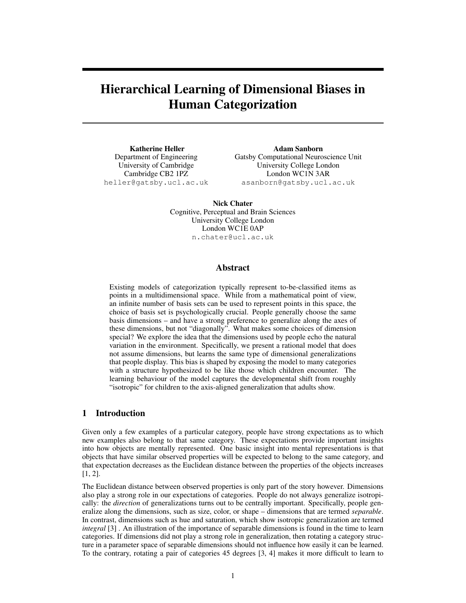# Hierarchical Learning of Dimensional Biases in Human Categorization

Katherine Heller Department of Engineering University of Cambridge Cambridge CB2 1PZ heller@gatsby.ucl.ac.uk

Adam Sanborn Gatsby Computational Neuroscience Unit University College London London WC1N 3AR asanborn@gatsby.ucl.ac.uk

Nick Chater Cognitive, Perceptual and Brain Sciences University College London London WC1E 0AP n.chater@ucl.ac.uk

#### Abstract

Existing models of categorization typically represent to-be-classified items as points in a multidimensional space. While from a mathematical point of view, an infinite number of basis sets can be used to represent points in this space, the choice of basis set is psychologically crucial. People generally choose the same basis dimensions – and have a strong preference to generalize along the axes of these dimensions, but not "diagonally". What makes some choices of dimension special? We explore the idea that the dimensions used by people echo the natural variation in the environment. Specifically, we present a rational model that does not assume dimensions, but learns the same type of dimensional generalizations that people display. This bias is shaped by exposing the model to many categories with a structure hypothesized to be like those which children encounter. The learning behaviour of the model captures the developmental shift from roughly "isotropic" for children to the axis-aligned generalization that adults show.

### 1 Introduction

Given only a few examples of a particular category, people have strong expectations as to which new examples also belong to that same category. These expectations provide important insights into how objects are mentally represented. One basic insight into mental representations is that objects that have similar observed properties will be expected to belong to the same category, and that expectation decreases as the Euclidean distance between the properties of the objects increases [1, 2].

The Euclidean distance between observed properties is only part of the story however. Dimensions also play a strong role in our expectations of categories. People do not always generalize isotropically: the *direction* of generalizations turns out to be centrally important. Specifically, people generalize along the dimensions, such as size, color, or shape – dimensions that are termed *separable*. In contrast, dimensions such as hue and saturation, which show isotropic generalization are termed *integral* [3] . An illustration of the importance of separable dimensions is found in the time to learn categories. If dimensions did not play a strong role in generalization, then rotating a category structure in a parameter space of separable dimensions should not influence how easily it can be learned. To the contrary, rotating a pair of categories 45 degrees [3, 4] makes it more difficult to learn to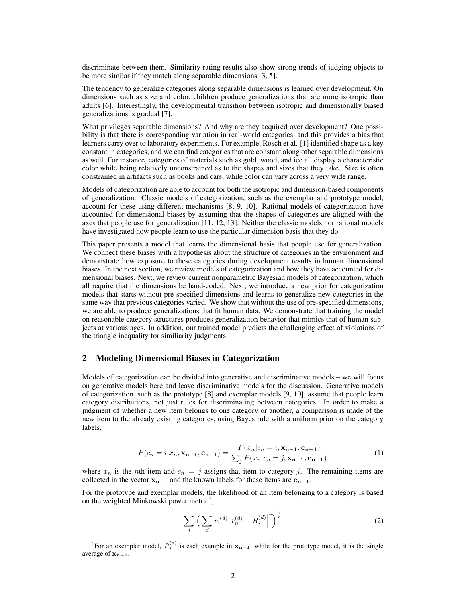discriminate between them. Similarity rating results also show strong trends of judging objects to be more similar if they match along separable dimensions [3, 5].

The tendency to generalize categories along separable dimensions is learned over development. On dimensions such as size and color, children produce generalizations that are more isotropic than adults [6]. Interestingly, the developmental transition between isotropic and dimensionally biased generalizations is gradual [7].

What privileges separable dimensions? And why are they acquired over development? One possibility is that there is corresponding variation in real-world categories, and this provides a bias that learners carry over to laboratory experiments. For example, Rosch et al. [1] identified shape as a key constant in categories, and we can find categories that are constant along other separable dimensions as well. For instance, categories of materials such as gold, wood, and ice all display a characteristic color while being relatively unconstrained as to the shapes and sizes that they take. Size is often constrained in artifacts such as books and cars, while color can vary across a very wide range.

Models of categorization are able to account for both the isotropic and dimension-based components of generalization. Classic models of categorization, such as the exemplar and prototype model, account for these using different mechanisms [8, 9, 10]. Rational models of categorization have accounted for dimensional biases by assuming that the shapes of categories are aligned with the axes that people use for generalization [11, 12, 13]. Neither the classic models nor rational models have investigated how people learn to use the particular dimension basis that they do.

This paper presents a model that learns the dimensional basis that people use for generalization. We connect these biases with a hypothesis about the structure of categories in the environment and demonstrate how exposure to these categories during development results in human dimensional biases. In the next section, we review models of categorization and how they have accounted for dimensional biases. Next, we review current nonparametric Bayesian models of categorization, which all require that the dimensions be hand-coded. Next, we introduce a new prior for categorization models that starts without pre-specified dimensions and learns to generalize new categories in the same way that previous categories varied. We show that without the use of pre-specified dimensions, we are able to produce generalizations that fit human data. We demonstrate that training the model on reasonable category structures produces generalization behavior that mimics that of human subjects at various ages. In addition, our trained model predicts the challenging effect of violations of the triangle inequality for similiarity judgments.

#### 2 Modeling Dimensional Biases in Categorization

Models of categorization can be divided into generative and discriminative models – we will focus on generative models here and leave discriminative models for the discussion. Generative models of categorization, such as the prototype [8] and exemplar models [9, 10], assume that people learn category distributions, not just rules for discriminating between categories. In order to make a judgment of whether a new item belongs to one category or another, a comparison is made of the new item to the already existing categories, using Bayes rule with a uniform prior on the category labels,

$$
P(c_n = i | x_n, \mathbf{x}_{n-1}, \mathbf{c}_{n-1}) = \frac{P(x_n | c_n = i, \mathbf{x}_{n-1}, \mathbf{c}_{n-1})}{\sum_j P(x_n | c_n = j, \mathbf{x}_{n-1}, \mathbf{c}_{n-1})}
$$
(1)

where  $x_n$  is the nth item and  $c_n = j$  assigns that item to category j. The remaining items are collected in the vector  $x_{n-1}$  and the known labels for these items are  $c_{n-1}$ .

For the prototype and exemplar models, the likelihood of an item belonging to a category is based on the weighted Minkowski power metric<sup>1</sup>,

$$
\sum_{i} \left( \sum_{d} w^{(d)} \left| x_n^{(d)} - R_i^{(d)} \right|^r \right)^{\frac{1}{r}} \tag{2}
$$

<sup>&</sup>lt;sup>1</sup>For an exemplar model,  $R_i^{(d)}$  is each example in  $x_{n-1}$ , while for the prototype model, it is the single average of  $x_{n-1}$ .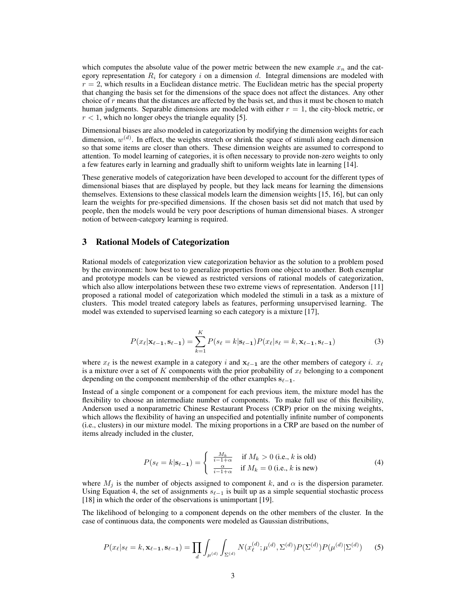which computes the absolute value of the power metric between the new example  $x_n$  and the category representation  $R_i$  for category i on a dimension d. Integral dimensions are modeled with  $r = 2$ , which results in a Euclidean distance metric. The Euclidean metric has the special property that changing the basis set for the dimensions of the space does not affect the distances. Any other choice of r means that the distances are affected by the basis set, and thus it must be chosen to match human judgments. Separable dimensions are modeled with either  $r = 1$ , the city-block metric, or  $r < 1$ , which no longer obeys the triangle equality [5].

Dimensional biases are also modeled in categorization by modifying the dimension weights for each dimension,  $w^{(d)}$ . In effect, the weights stretch or shrink the space of stimuli along each dimension so that some items are closer than others. These dimension weights are assumed to correspond to attention. To model learning of categories, it is often necessary to provide non-zero weights to only a few features early in learning and gradually shift to uniform weights late in learning [14].

These generative models of categorization have been developed to account for the different types of dimensional biases that are displayed by people, but they lack means for learning the dimensions themselves. Extensions to these classical models learn the dimension weights [15, 16], but can only learn the weights for pre-specified dimensions. If the chosen basis set did not match that used by people, then the models would be very poor descriptions of human dimensional biases. A stronger notion of between-category learning is required.

## 3 Rational Models of Categorization

Rational models of categorization view categorization behavior as the solution to a problem posed by the environment: how best to to generalize properties from one object to another. Both exemplar and prototype models can be viewed as restricted versions of rational models of categorization, which also allow interpolations between these two extreme views of representation. Anderson [11] proposed a rational model of categorization which modeled the stimuli in a task as a mixture of clusters. This model treated category labels as features, performing unsupervised learning. The model was extended to supervised learning so each category is a mixture [17],

$$
P(x_{\ell}|\mathbf{x}_{\ell-1},\mathbf{s}_{\ell-1}) = \sum_{k=1}^{K} P(s_{\ell}=k|\mathbf{s}_{\ell-1}) P(x_{\ell}|s_{\ell}=k,\mathbf{x}_{\ell-1},\mathbf{s}_{\ell-1})
$$
(3)

where  $x_{\ell}$  is the newest example in a category i and  $x_{\ell-1}$  are the other members of category i.  $x_{\ell}$ is a mixture over a set of K components with the prior probability of  $x_\ell$  belonging to a component depending on the component membership of the other examples  $s_{\ell-1}$ .

Instead of a single component or a component for each previous item, the mixture model has the flexibility to choose an intermediate number of components. To make full use of this flexibility, Anderson used a nonparametric Chinese Restaurant Process (CRP) prior on the mixing weights, which allows the flexibility of having an unspecified and potentially infinite number of components (i.e., clusters) in our mixture model. The mixing proportions in a CRP are based on the number of items already included in the cluster,

$$
P(s_{\ell} = k | \mathbf{s}_{\ell-1}) = \begin{cases} \frac{M_k}{i - 1 + \alpha} & \text{if } M_k > 0 \text{ (i.e., } k \text{ is old)}\\ \frac{\alpha}{i - 1 + \alpha} & \text{if } M_k = 0 \text{ (i.e., } k \text{ is new)} \end{cases}
$$
(4)

where  $M_i$  is the number of objects assigned to component k, and  $\alpha$  is the dispersion parameter. Using Equation 4, the set of assignments  $s_{\ell-1}$  is built up as a simple sequential stochastic process [18] in which the order of the observations is unimportant [19].

The likelihood of belonging to a component depends on the other members of the cluster. In the case of continuous data, the components were modeled as Gaussian distributions,

$$
P(x_{\ell}|s_{\ell}=k,\mathbf{x}_{\ell-1},\mathbf{s}_{\ell-1})=\prod_{d}\int_{\mu^{(d)}}\int_{\Sigma^{(d)}}N(x_{\ell}^{(d)};\mu^{(d)},\Sigma^{(d)})P(\Sigma^{(d)})P(\mu^{(d)}|\Sigma^{(d)})\qquad(5)
$$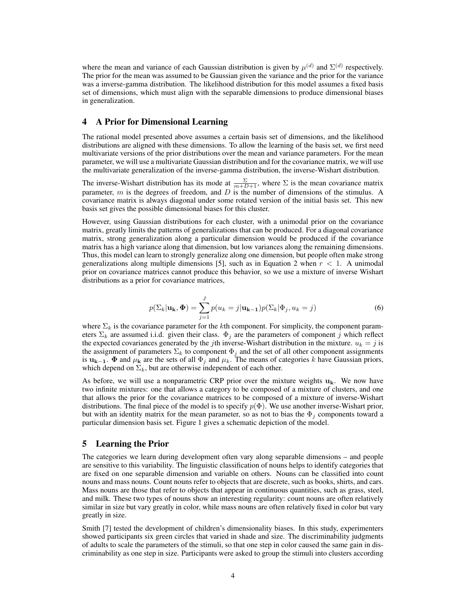where the mean and variance of each Gaussian distribution is given by  $\mu^{(d)}$  and  $\Sigma^{(d)}$  respectively. The prior for the mean was assumed to be Gaussian given the variance and the prior for the variance was a inverse-gamma distribution. The likelihood distribution for this model assumes a fixed basis set of dimensions, which must align with the separable dimensions to produce dimensional biases in generalization.

#### 4 A Prior for Dimensional Learning

The rational model presented above assumes a certain basis set of dimensions, and the likelihood distributions are aligned with these dimensions. To allow the learning of the basis set, we first need multivariate versions of the prior distributions over the mean and variance parameters. For the mean parameter, we will use a multivariate Gaussian distribution and for the covariance matrix, we will use the multivariate generalization of the inverse-gamma distribution, the inverse-Wishart distribution.

The inverse-Wishart distribution has its mode at  $\frac{\Sigma}{m+D+1}$ , where  $\Sigma$  is the mean covariance matrix parameter,  $m$  is the degrees of freedom, and  $D$  is the number of dimensions of the stimulus. A covariance matrix is always diagonal under some rotated version of the initial basis set. This new basis set gives the possible dimensional biases for this cluster.

However, using Gaussian distributions for each cluster, with a unimodal prior on the covariance matrix, greatly limits the patterns of generalizations that can be produced. For a diagonal covariance matrix, strong generalization along a particular dimension would be produced if the covariance matrix has a high variance along that dimension, but low variances along the remaining dimensions. Thus, this model can learn to strongly generalize along one dimension, but people often make strong generalizations along multiple dimensions [5], such as in Equation 2 when  $r < 1$ . A unimodal prior on covariance matrices cannot produce this behavior, so we use a mixture of inverse Wishart distributions as a prior for covariance matrices,

$$
p(\Sigma_k|\mathbf{u_k}, \mathbf{\Phi}) = \sum_{j=1}^J p(u_k = j|\mathbf{u_{k-1}})p(\Sigma_k|\Phi_j, u_k = j)
$$
(6)

where  $\Sigma_k$  is the covariance parameter for the kth component. For simplicity, the component parameters  $\Sigma_k$  are assumed i.i.d. given their class.  $\Phi_j$  are the parameters of component j which reflect the expected covariances generated by the *j*th inverse-Wishart distribution in the mixture.  $u_k = j$  is the assignment of parameters  $\Sigma_k$  to component  $\Phi_j$  and the set of all other component assignments is  $\mathbf{u_{k-1}}$ .  $\Phi$  and  $\mu_k$  are the sets of all  $\Phi_j$  and  $\mu_k$ . The means of categories k have Gaussian priors, which depend on  $\Sigma_k$ , but are otherwise independent of each other.

As before, we will use a nonparametric CRP prior over the mixture weights  $u_k$ . We now have two infinite mixtures: one that allows a category to be composed of a mixture of clusters, and one that allows the prior for the covariance matrices to be composed of a mixture of inverse-Wishart distributions. The final piece of the model is to specify  $p(\Phi)$ . We use another inverse-Wishart prior, but with an identity matrix for the mean parameter, so as not to bias the  $\Phi_j$  components toward a particular dimension basis set. Figure 1 gives a schematic depiction of the model.

#### 5 Learning the Prior

The categories we learn during development often vary along separable dimensions – and people are sensitive to this variability. The linguistic classification of nouns helps to identify categories that are fixed on one separable dimension and variable on others. Nouns can be classified into count nouns and mass nouns. Count nouns refer to objects that are discrete, such as books, shirts, and cars. Mass nouns are those that refer to objects that appear in continuous quantities, such as grass, steel, and milk. These two types of nouns show an interesting regularity: count nouns are often relatively similar in size but vary greatly in color, while mass nouns are often relatively fixed in color but vary greatly in size.

Smith [7] tested the development of children's dimensionality biases. In this study, experimenters showed participants six green circles that varied in shade and size. The discriminability judgments of adults to scale the parameters of the stimuli, so that one step in color caused the same gain in discriminability as one step in size. Participants were asked to group the stimuli into clusters according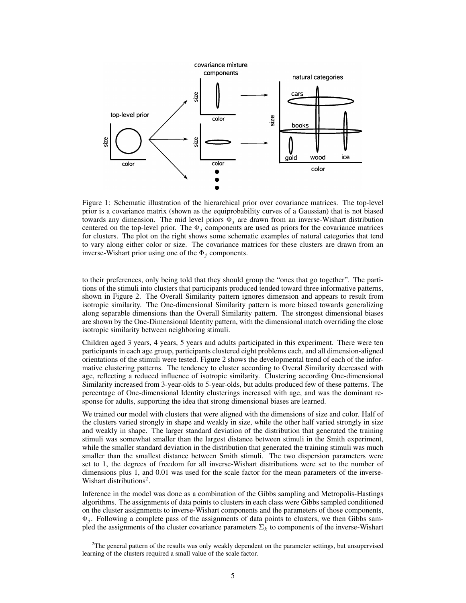

Figure 1: Schematic illustration of the hierarchical prior over covariance matrices. The top-level prior is a covariance matrix (shown as the equiprobability curves of a Gaussian) that is not biased towards any dimension. The mid level priors  $\Phi_j$  are drawn from an inverse-Wishart distribution centered on the top-level prior. The  $\Phi_i$  components are used as priors for the covariance matrices for clusters. The plot on the right shows some schematic examples of natural categories that tend to vary along either color or size. The covariance matrices for these clusters are drawn from an inverse-Wishart prior using one of the  $\Phi_j$  components.

to their preferences, only being told that they should group the "ones that go together". The partitions of the stimuli into clusters that participants produced tended toward three informative patterns, shown in Figure 2. The Overall Similarity pattern ignores dimension and appears to result from isotropic similarity. The One-dimensional Similarity pattern is more biased towards generalizing along separable dimensions than the Overall Similarity pattern. The strongest dimensional biases are shown by the One-Dimensional Identity pattern, with the dimensional match overriding the close isotropic similarity between neighboring stimuli.

Children aged 3 years, 4 years, 5 years and adults participated in this experiment. There were ten participants in each age group, participants clustered eight problems each, and all dimension-aligned orientations of the stimuli were tested. Figure 2 shows the developmental trend of each of the informative clustering patterns. The tendency to cluster according to Overal Similarity decreased with age, reflecting a reduced influence of isotropic similarity. Clustering according One-dimensional Similarity increased from 3-year-olds to 5-year-olds, but adults produced few of these patterns. The percentage of One-dimensional Identity clusterings increased with age, and was the dominant response for adults, supporting the idea that strong dimensional biases are learned.

We trained our model with clusters that were aligned with the dimensions of size and color. Half of the clusters varied strongly in shape and weakly in size, while the other half varied strongly in size and weakly in shape. The larger standard deviation of the distribution that generated the training stimuli was somewhat smaller than the largest distance between stimuli in the Smith experiment, while the smaller standard deviation in the distribution that generated the training stimuli was much smaller than the smallest distance between Smith stimuli. The two dispersion parameters were set to 1, the degrees of freedom for all inverse-Wishart distributions were set to the number of dimensions plus 1, and 0.01 was used for the scale factor for the mean parameters of the inverse-Wishart distributions<sup>2</sup>.

Inference in the model was done as a combination of the Gibbs sampling and Metropolis-Hastings algorithms. The assignments of data points to clusters in each class were Gibbs sampled conditioned on the cluster assignments to inverse-Wishart components and the parameters of those components,  $\Phi_j$ . Following a complete pass of the assignments of data points to clusters, we then Gibbs sampled the assignments of the cluster covariance parameters  $\Sigma_k$  to components of the inverse-Wishart

<sup>&</sup>lt;sup>2</sup>The general pattern of the results was only weakly dependent on the parameter settings, but unsupervised learning of the clusters required a small value of the scale factor.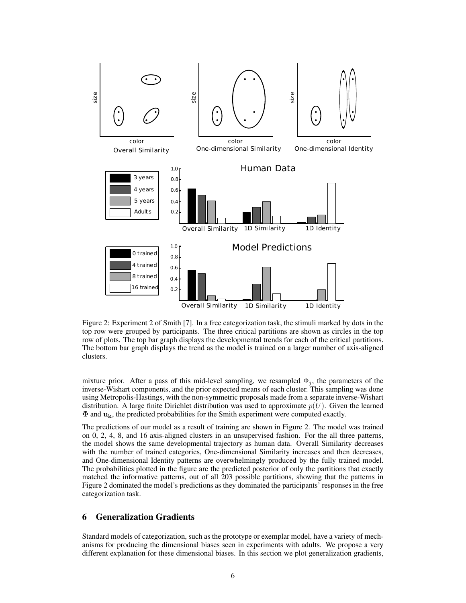

Figure 2: Experiment 2 of Smith [7]. In a free categorization task, the stimuli marked by dots in the top row were grouped by participants. The three critical partitions are shown as circles in the top row of plots. The top bar graph displays the developmental trends for each of the critical partitions. The bottom bar graph displays the trend as the model is trained on a larger number of axis-aligned clusters.

mixture prior. After a pass of this mid-level sampling, we resampled  $\Phi_j$ , the parameters of the inverse-Wishart components, and the prior expected means of each cluster. This sampling was done using Metropolis-Hastings, with the non-symmetric proposals made from a separate inverse-Wishart distribution. A large finite Dirichlet distribution was used to approximate  $p(U)$ . Given the learned Φ and uk, the predicted probabilities for the Smith experiment were computed exactly.

The predictions of our model as a result of training are shown in Figure 2. The model was trained on 0, 2, 4, 8, and 16 axis-aligned clusters in an unsupervised fashion. For the all three patterns, the model shows the same developmental trajectory as human data. Overall Similarity decreases with the number of trained categories, One-dimensional Similarity increases and then decreases, and One-dimensional Identity patterns are overwhelmingly produced by the fully trained model. The probabilities plotted in the figure are the predicted posterior of only the partitions that exactly matched the informative patterns, out of all 203 possible partitions, showing that the patterns in Figure 2 dominated the model's predictions as they dominated the participants' responses in the free categorization task.

# 6 Generalization Gradients

Standard models of categorization, such as the prototype or exemplar model, have a variety of mechanisms for producing the dimensional biases seen in experiments with adults. We propose a very different explanation for these dimensional biases. In this section we plot generalization gradients,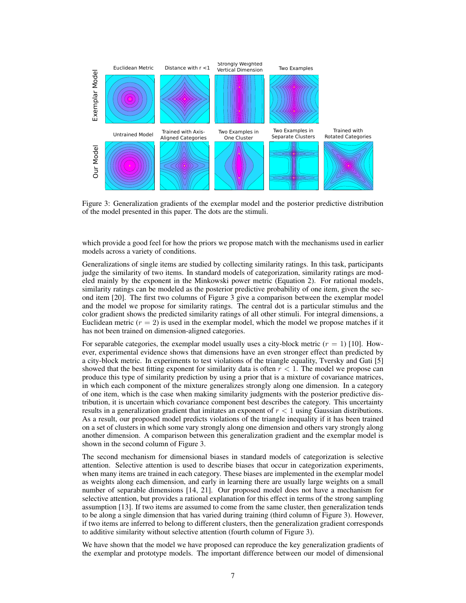

Figure 3: Generalization gradients of the exemplar model and the posterior predictive distribution of the model presented in this paper. The dots are the stimuli.

which provide a good feel for how the priors we propose match with the mechanisms used in earlier models across a variety of conditions.

Generalizations of single items are studied by collecting similarity ratings. In this task, participants judge the similarity of two items. In standard models of categorization, similarity ratings are modeled mainly by the exponent in the Minkowski power metric (Equation 2). For rational models, similarity ratings can be modeled as the posterior predictive probability of one item, given the second item [20]. The first two columns of Figure 3 give a comparison between the exemplar model and the model we propose for similarity ratings. The central dot is a particular stimulus and the color gradient shows the predicted similarity ratings of all other stimuli. For integral dimensions, a Euclidean metric  $(r = 2)$  is used in the exemplar model, which the model we propose matches if it has not been trained on dimension-aligned categories.

For separable categories, the exemplar model usually uses a city-block metric  $(r = 1)$  [10]. However, experimental evidence shows that dimensions have an even stronger effect than predicted by a city-block metric. In experiments to test violations of the triangle equality, Tversky and Gati [5] showed that the best fitting exponent for similarity data is often  $r < 1$ . The model we propose can produce this type of similarity prediction by using a prior that is a mixture of covariance matrices, in which each component of the mixture generalizes strongly along one dimension. In a category of one item, which is the case when making similarity judgments with the posterior predictive distribution, it is uncertain which covariance component best describes the category. This uncertainty results in a generalization gradient that imitates an exponent of  $r < 1$  using Gaussian distributions. As a result, our proposed model predicts violations of the triangle inequality if it has been trained on a set of clusters in which some vary strongly along one dimension and others vary strongly along another dimension. A comparison between this generalization gradient and the exemplar model is shown in the second column of Figure 3.

The second mechanism for dimensional biases in standard models of categorization is selective attention. Selective attention is used to describe biases that occur in categorization experiments, when many items are trained in each category. These biases are implemented in the exemplar model as weights along each dimension, and early in learning there are usually large weights on a small number of separable dimensions [14, 21]. Our proposed model does not have a mechanism for selective attention, but provides a rational explanation for this effect in terms of the strong sampling assumption [13]. If two items are assumed to come from the same cluster, then generalization tends to be along a single dimension that has varied during training (third column of Figure 3). However, if two items are inferred to belong to different clusters, then the generalization gradient corresponds to additive similarity without selective attention (fourth column of Figure 3).

We have shown that the model we have proposed can reproduce the key generalization gradients of the exemplar and prototype models. The important difference between our model of dimensional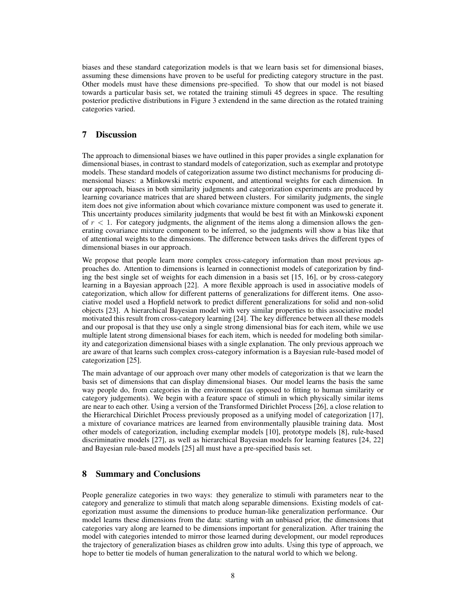biases and these standard categorization models is that we learn basis set for dimensional biases, assuming these dimensions have proven to be useful for predicting category structure in the past. Other models must have these dimensions pre-specified. To show that our model is not biased towards a particular basis set, we rotated the training stimuli 45 degrees in space. The resulting posterior predictive distributions in Figure 3 extendend in the same direction as the rotated training categories varied.

## 7 Discussion

The approach to dimensional biases we have outlined in this paper provides a single explanation for dimensional biases, in contrast to standard models of categorization, such as exemplar and prototype models. These standard models of categorization assume two distinct mechanisms for producing dimensional biases: a Minkowski metric exponent, and attentional weights for each dimension. In our approach, biases in both similarity judgments and categorization experiments are produced by learning covariance matrices that are shared between clusters. For similarity judgments, the single item does not give information about which covariance mixture component was used to generate it. This uncertainty produces similarity judgments that would be best fit with an Minkowski exponent of  $r < 1$ . For category judgments, the alignment of the items along a dimension allows the generating covariance mixture component to be inferred, so the judgments will show a bias like that of attentional weights to the dimensions. The difference between tasks drives the different types of dimensional biases in our approach.

We propose that people learn more complex cross-category information than most previous approaches do. Attention to dimensions is learned in connectionist models of categorization by finding the best single set of weights for each dimension in a basis set [15, 16], or by cross-category learning in a Bayesian approach [22]. A more flexible approach is used in associative models of categorization, which allow for different patterns of generalizations for different items. One associative model used a Hopfield network to predict different generalizations for solid and non-solid objects [23]. A hierarchical Bayesian model with very similar properties to this associative model motivated this result from cross-category learning [24]. The key difference between all these models and our proposal is that they use only a single strong dimensional bias for each item, while we use multiple latent strong dimensional biases for each item, which is needed for modeling both similarity and categorization dimensional biases with a single explanation. The only previous approach we are aware of that learns such complex cross-category information is a Bayesian rule-based model of categorization [25].

The main advantage of our approach over many other models of categorization is that we learn the basis set of dimensions that can display dimensional biases. Our model learns the basis the same way people do, from categories in the environment (as opposed to fitting to human similarity or category judgements). We begin with a feature space of stimuli in which physically similar items are near to each other. Using a version of the Transformed Dirichlet Process [26], a close relation to the Hierarchical Dirichlet Process previously proposed as a unifying model of categorization [17], a mixture of covariance matrices are learned from environmentally plausible training data. Most other models of categorization, including exemplar models [10], prototype models [8], rule-based discriminative models [27], as well as hierarchical Bayesian models for learning features [24, 22] and Bayesian rule-based models [25] all must have a pre-specified basis set.

## 8 Summary and Conclusions

People generalize categories in two ways: they generalize to stimuli with parameters near to the category and generalize to stimuli that match along separable dimensions. Existing models of categorization must assume the dimensions to produce human-like generalization performance. Our model learns these dimensions from the data: starting with an unbiased prior, the dimensions that categories vary along are learned to be dimensions important for generalization. After training the model with categories intended to mirror those learned during development, our model reproduces the trajectory of generalization biases as children grow into adults. Using this type of approach, we hope to better tie models of human generalization to the natural world to which we belong.